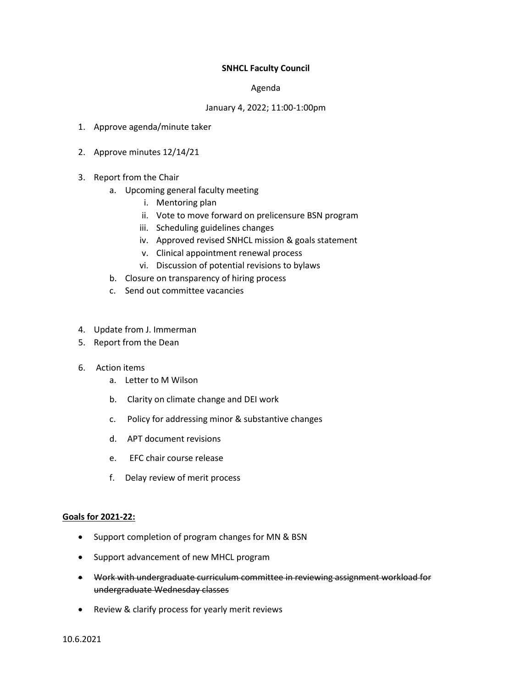## **SNHCL Faculty Council**

## Agenda

## January 4, 2022; 11:00-1:00pm

- 1. Approve agenda/minute taker
- 2. Approve minutes 12/14/21
- 3. Report from the Chair
	- a. Upcoming general faculty meeting
		- i. Mentoring plan
		- ii. Vote to move forward on prelicensure BSN program
		- iii. Scheduling guidelines changes
		- iv. Approved revised SNHCL mission & goals statement
		- v. Clinical appointment renewal process
		- vi. Discussion of potential revisions to bylaws
	- b. Closure on transparency of hiring process
	- c. Send out committee vacancies
- 4. Update from J. Immerman
- 5. Report from the Dean
- 6. Action items
	- a. Letter to M Wilson
	- b. Clarity on climate change and DEI work
	- c. Policy for addressing minor & substantive changes
	- d. APT document revisions
	- e. EFC chair course release
	- f. Delay review of merit process

## **Goals for 2021-22:**

- Support completion of program changes for MN & BSN
- Support advancement of new MHCL program
- Work with undergraduate curriculum committee in reviewing assignment workload for undergraduate Wednesday classes
- Review & clarify process for yearly merit reviews